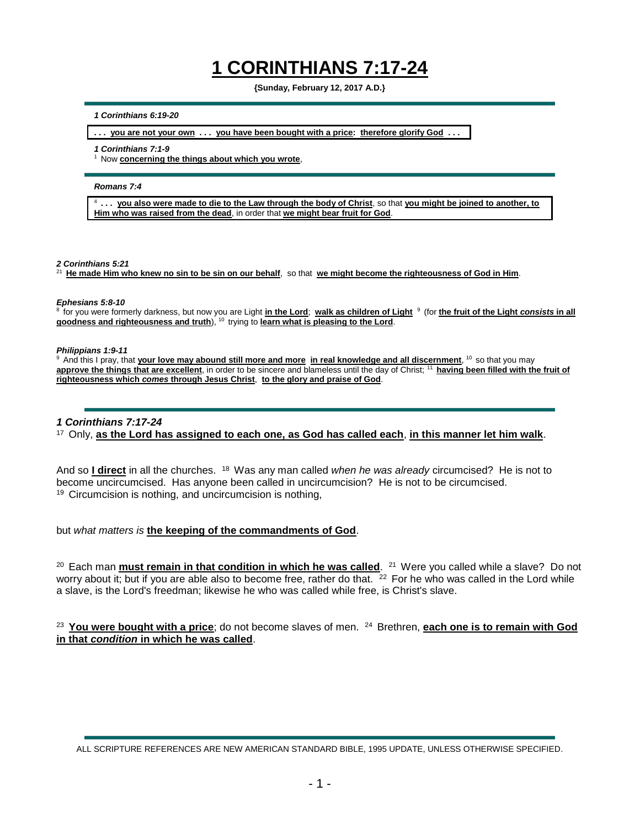## **1 CORINTHIANS 7:17-24**

**{Sunday, February 12, 2017 A.D.}**

## *1 Corinthians 6:19-20*

**. . . you are not your own . . . you have been bought with a price: therefore glorify God . . .**

*1 Corinthians 7:1-9*

<sup>1</sup> Now **concerning the things about which you wrote**,

*Romans 7:4*

4 **. . . you also were made to die to the Law through the body of Christ**, so that **you might be joined to another, to Him who was raised from the dead**, in order that **we might bear fruit for God**.

*2 Corinthians 5:21*

<sup>21</sup>**He made Him who knew no sin to be sin on our behalf**, so that **we might become the righteousness of God in Him**.

## *Ephesians 5:8-10*

<sup>8</sup>for you were formerly darkness, but now you are Light **in the Lord**; **walk as children of Light** <sup>9</sup>(for **the fruit of the Light** *consists* **in all goodness and righteousness and truth**), <sup>10</sup> trying to learn what is pleasing to the Lord.

*Philippians 1:9-11*

<sup>9</sup> And this I pray, that *your love may abound still more and more* in real knowledge and all discernment, <sup>10</sup> so that you may approve the things that are excellent, in order to be sincere and blameless until the day of Christ; <sup>11</sup> having been filled with the fruit of **righteousness which** *comes* **through Jesus Christ**, **to the glory and praise of God**.

## *1 Corinthians 7:17-24*

<sup>17</sup>Only, **as the Lord has assigned to each one, as God has called each**, **in this manner let him walk**.

And so *I direct* in all the churches. <sup>18</sup> Was any man called *when he was already* circumcised? He is not to become uncircumcised. Has anyone been called in uncircumcision? He is not to be circumcised.  $19$  Circumcision is nothing, and uncircumcision is nothing,

but *what matters is* **the keeping of the commandments of God**.

<sup>20</sup> Each man *must remain in that condition in which he was called.* <sup>21</sup> Were you called while a slave? Do not worry about it; but if you are able also to become free, rather do that.  $22$  For he who was called in the Lord while a slave, is the Lord's freedman; likewise he who was called while free, is Christ's slave.

<sup>23</sup> You were bought with a price; do not become slaves of men. <sup>24</sup> Brethren, each one is to remain with God **in that** *condition* **in which he was called**.

ALL SCRIPTURE REFERENCES ARE NEW AMERICAN STANDARD BIBLE, 1995 UPDATE, UNLESS OTHERWISE SPECIFIED.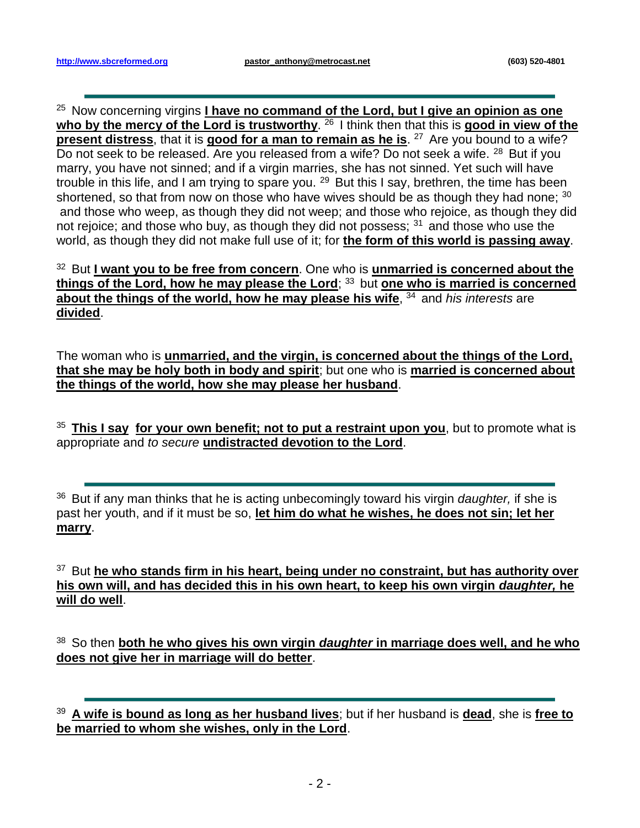<sup>25</sup> Now concerning virgins *I have no command of the Lord, but I give an opinion as one* who by the mercy of the Lord is trustworthy. <sup>26</sup> I think then that this is good in view of the **present distress**, that it is **good for a man to remain as he is**. <sup>27</sup> Are you bound to a wife? Do not seek to be released. Are you released from a wife? Do not seek a wife. <sup>28</sup> But if you marry, you have not sinned; and if a virgin marries, she has not sinned. Yet such will have trouble in this life, and I am trying to spare you. <sup>29</sup> But this I say, brethren, the time has been shortened, so that from now on those who have wives should be as though they had none; 30 and those who weep, as though they did not weep; and those who rejoice, as though they did not rejoice; and those who buy, as though they did not possess;  $31$  and those who use the world, as though they did not make full use of it; for **the form of this world is passing away**.

<sup>32</sup> But I want you to be free from concern. One who is unmarried is concerned about the **things of the Lord, how he may please the Lord; 33 but one who is married is concerned about the things of the world, how he may please his wife**, <sup>34</sup> and *his interests* are **divided**.

The woman who is **unmarried, and the virgin, is concerned about the things of the Lord, that she may be holy both in body and spirit**; but one who is **married is concerned about the things of the world, how she may please her husband**.

<sup>35</sup>**This I say for your own benefit; not to put a restraint upon you**, but to promote what is appropriate and *to secure* **undistracted devotion to the Lord**.

<sup>36</sup> But if any man thinks that he is acting unbecomingly toward his virgin *daughter*, if she is past her youth, and if it must be so, **let him do what he wishes, he does not sin; let her marry**.

<sup>37</sup> But he who stands firm in his heart, being under no constraint, but has authority over **his own will, and has decided this in his own heart, to keep his own virgin** *daughter,* **he will do well**.

<sup>38</sup>So then **both he who gives his own virgin** *daughter* **in marriage does well, and he who does not give her in marriage will do better**.

<sup>39</sup>**A wife is bound as long as her husband lives**; but if her husband is **dead**, she is **free to be married to whom she wishes, only in the Lord**.